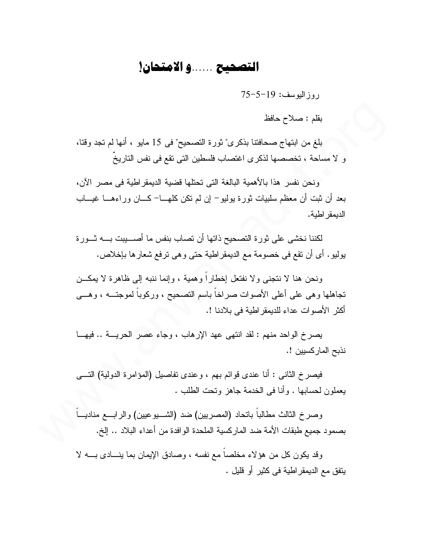## التصحيح ......و الامتحان!

 $75-5-19$  : روز البوسف:

بقلم : صلاح حافظ

بلغ من ابتهاج صحافتنا بذكري" ثورة التصحيح" في 15 مايو ، أنها لم تجد وقتا، و لا مساحة ، تخصصها لذكرى اغتصاب فلسطين التي تقع في نفس التاريخ

ونحن نفسر هذا بالأهمية البالغة التي تحتلها قضية الديمقر اطية في مصر الآن، بعد أن ثبت أن معظم سلبيات ثورة بوليو – إن لم تكن كلهـــا– كـــان وراءهـــا غيــــاب الدبمقر اطبة.

لكننا نخشى على ثورة التصحيح ذاتها أن تصاب بنفس ما أصـــــــــــيبت بــــــه ثـــــورة يوليو. أي أن نقع في خصومة مع الديمقراطية حتى و هي نرفع شعارها بإخلاص.

ونحن هنا لا نتجنى ولا نفتعل إخطاراً وهمية ، وإنما ننبه إلى ظاهرة لا يمكـــن تجاهلها وهي على أعلى الأصوات صراخاً باسم التصحيح ، وركوباً لموجتـــه ، وهـــي أكثر الأصوات عداء للديمقر اطية في بلادنا !.

يصرخ الواحد منهم : لقد انتهى عهد الإرهاب ، وجاء عصر الحريسة .. فيهــا نذبح الماركسيين !.

فيصرخ الثاني : أنا عندي قوائم بهم ، وعندي تفاصيل (المؤامرة الدولية) التسي يعملون لحسابها . وأنا في الخدمة جاهز وتحت الطلب .

وصرخ الثالث مطالبا بانحاد (المصريين) ضد (الشــــيوعيين) والرابـــع مناديــــاً بصمود جميع طبقات الأمة ضد الماركسية الملحدة الوافدة من أعداء البلاد .. إلخ.

وقد يكون كل من هؤلاء مخلصا مع نفسه ، وصادق الإيمان بما ينسادي بـــه لا بِنفقٍ مع الديمقر اطية في كثيرٍ أو قليلٍ .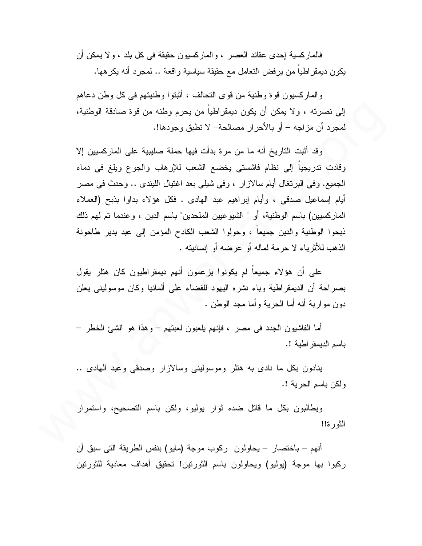فالمار كسية إحدى عقائد العصر ، و المار كسيون حقيقة في كل بلد ، و لا يمكن أن يكون ديمقراطيا من يرفض النعامل مع حقيقة سياسية واقعة .. لمجرد أنه يكرهها.

والماركسيون قوة وطنية من قوى التحالف ، أثبتوا وطنيتهم في كل وطن دعاهم إلى نصرته ، ولا يمكن أن يكون ديمقراطيا من يحرم وطنه من قوة صادقة الوطنية، لمجرد أن مزاجه – أو بالأحرار مصالحة– لا تطبق وجودها!.

وقد أثبت التاريخ أنه ما من مرة بدأت فيها حملة صليبية على الماركسيين إلا وفادت تدريجيا إلى نظام فاشستي يخضع الشعب للإرهاب والجوع ويلغ في دماء الجميع. وفي البرنغال أيام سالازار ، وفي شيلي بعد اغتيال الليندي .. وحدث في مصر أيام إسماعيل صدقي ، وأيام إبراهيم عبد الهادي . فكل هؤلاء بداوا بذبح (العملاء المار كسيين) باسم الوطنية، أو " الشيو عيين الملحدين" باسم الدين ، و عندما تم لهم ذلك ذبحوا الوطنية والدين جميعاً ، وحولوا الشعب الكادح المؤمن إلى عبد بدير طاحونة الذهب للأثرياء لا حرمة لماله أو عرضه أو إنسانيته .

على أن هؤلاء جميعا لم يكونوا يزعمون أنهم ديمقراطيون كان هتلر يقول بصر احة أن الديمقر اطية وباء نشره اليهود للقضاء على ألمانيا وكان موسوليني يعلن دون مواربة أنه أما الحرية وأما مجد الوطن .

أما الفاشيون الجدد في مصر ، فإنهم يلعبون لعبتهم – وهذا هو الشَّيِّ الخطر – باسم الديمقر اطية !.

بنادون بكل ما نادى به هتلر وموسوليني وسالازار وصدقى وعبد الهادى .. ولكن باسم الحرية !.

ويطالبون بكل ما قاتل ضده ثوار بوليو، ولكن باسم التصحيح، واستمرار الثور ة!!

أنهم – باختصار – يحاولون ركوب موجة (مايو) بنفس الطريقة التي سبق أن ركبوا بها موجة (يوليو) ويحاولون باسم الثورنين! تحقيق أهداف معادية للثورنين